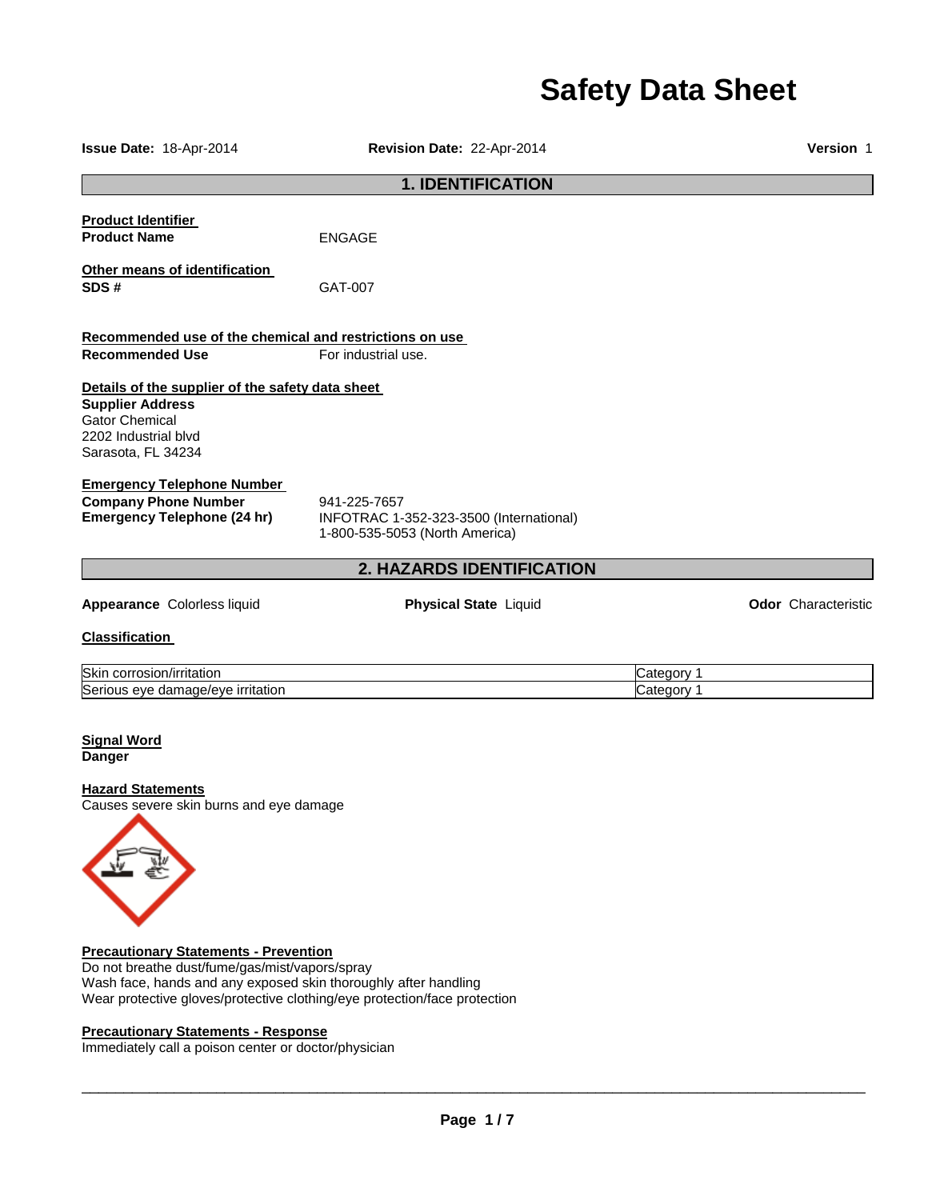# **Safety Data Sheet**

| Issue Date: 18-Apr-2014                                                                                                                            | Revision Date: 22-Apr-2014                                                                |                          | <b>Version 1</b>    |
|----------------------------------------------------------------------------------------------------------------------------------------------------|-------------------------------------------------------------------------------------------|--------------------------|---------------------|
| <b>1. IDENTIFICATION</b>                                                                                                                           |                                                                                           |                          |                     |
| <b>Product Identifier</b><br><b>Product Name</b>                                                                                                   | <b>ENGAGE</b>                                                                             |                          |                     |
| Other means of identification<br>SDS#                                                                                                              | GAT-007                                                                                   |                          |                     |
| Recommended use of the chemical and restrictions on use<br><b>Recommended Use</b>                                                                  | For industrial use.                                                                       |                          |                     |
| Details of the supplier of the safety data sheet<br><b>Supplier Address</b><br><b>Gator Chemical</b><br>2202 Industrial blvd<br>Sarasota, FL 34234 |                                                                                           |                          |                     |
| <b>Emergency Telephone Number</b><br><b>Company Phone Number</b><br><b>Emergency Telephone (24 hr)</b>                                             | 941-225-7657<br>INFOTRAC 1-352-323-3500 (International)<br>1-800-535-5053 (North America) |                          |                     |
|                                                                                                                                                    | 2. HAZARDS IDENTIFICATION                                                                 |                          |                     |
| Appearance Colorless liquid                                                                                                                        | <b>Physical State Liquid</b>                                                              |                          | Odor Characteristic |
| <b>Classification</b>                                                                                                                              |                                                                                           |                          |                     |
| Skin corrosion/irritation<br>Serious eye damage/eye irritation                                                                                     |                                                                                           | Category 1<br>Category 1 |                     |
| <b>Signal Word</b><br><b>Danger</b>                                                                                                                |                                                                                           |                          |                     |
| <b>Hazard Statements</b><br>Causes severe skin burns and eye damage                                                                                |                                                                                           |                          |                     |

# **Precautionary Statements - Prevention**

Do not breathe dust/fume/gas/mist/vapors/spray Wash face, hands and any exposed skin thoroughly after handling Wear protective gloves/protective clothing/eye protection/face protection

# **Precautionary Statements - Response**

Immediately call a poison center or doctor/physician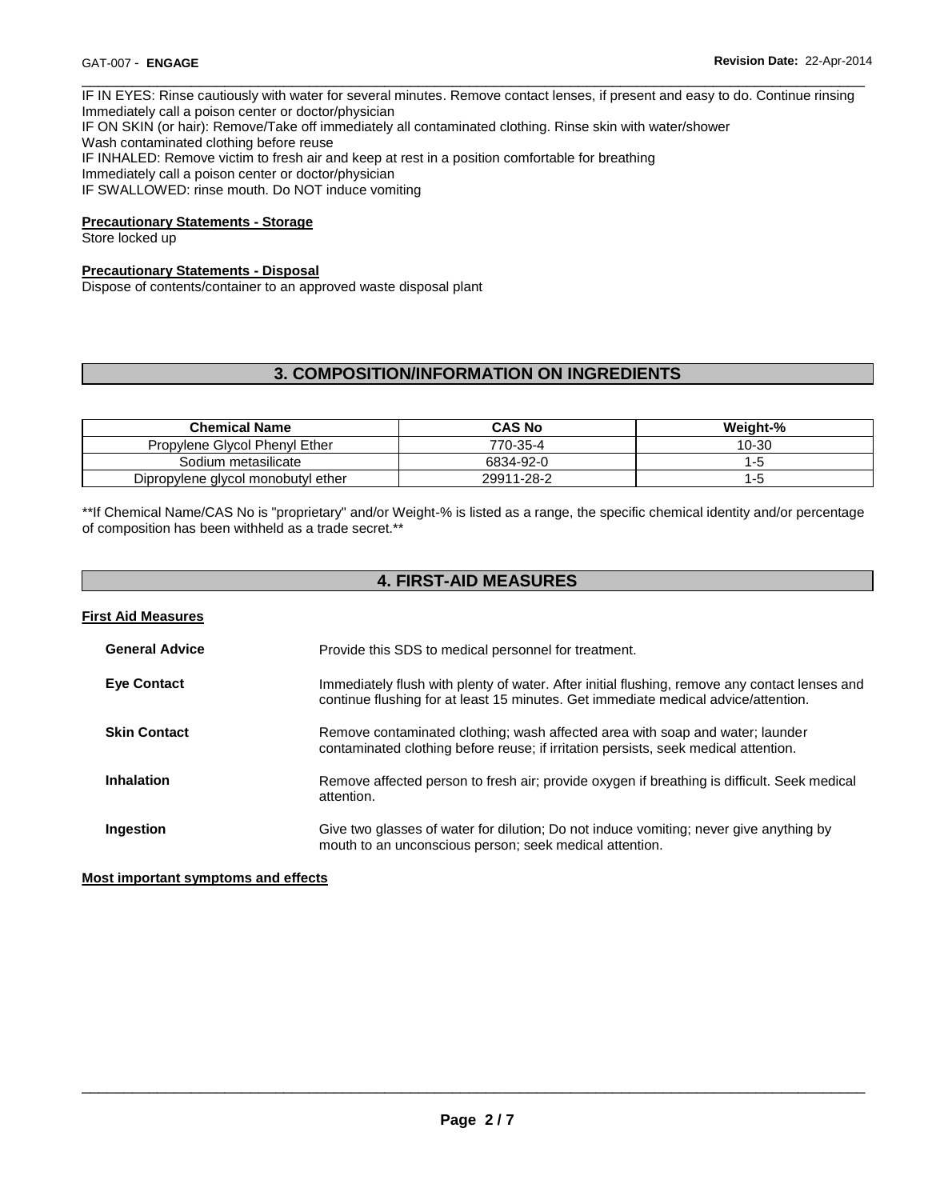IF IN EYES: Rinse cautiously with water for several minutes. Remove contact lenses, if present and easy to do. Continue rinsing Immediately call a poison center or doctor/physician IF ON SKIN (or hair): Remove/Take off immediately all contaminated clothing. Rinse skin with water/shower Wash contaminated clothing before reuse IF INHALED: Remove victim to fresh air and keep at rest in a position comfortable for breathing Immediately call a poison center or doctor/physician IF SWALLOWED: rinse mouth. Do NOT induce vomiting

\_\_\_\_\_\_\_\_\_\_\_\_\_\_\_\_\_\_\_\_\_\_\_\_\_\_\_\_\_\_\_\_\_\_\_\_\_\_\_\_\_\_\_\_\_\_\_\_\_\_\_\_\_\_\_\_\_\_\_\_\_\_\_\_\_\_\_\_\_\_\_\_\_\_\_\_\_\_\_\_\_\_\_\_\_\_\_\_\_\_\_\_\_

# **Precautionary Statements - Storage**

Store locked up

# **Precautionary Statements - Disposal**

Dispose of contents/container to an approved waste disposal plant

# **3. COMPOSITION/INFORMATION ON INGREDIENTS**

| <b>Chemical Name</b>               | <b>CAS No</b> | Weight-% |
|------------------------------------|---------------|----------|
| Propylene Glycol Phenyl Ether      | 770-35-4      | 10-30    |
| Sodium metasilicate                | 6834-92-0     | Е÷       |
| Dipropylene glycol monobutyl ether | 29911-28-2    | l-b      |

\*\*If Chemical Name/CAS No is "proprietary" and/or Weight-% is listed as a range, the specific chemical identity and/or percentage of composition has been withheld as a trade secret.\*\*

# **4. FIRST-AID MEASURES**

| <b>First Aid Measures</b> |                                                                                                                                                                                     |
|---------------------------|-------------------------------------------------------------------------------------------------------------------------------------------------------------------------------------|
| <b>General Advice</b>     | Provide this SDS to medical personnel for treatment.                                                                                                                                |
| <b>Eve Contact</b>        | Immediately flush with plenty of water. After initial flushing, remove any contact lenses and<br>continue flushing for at least 15 minutes. Get immediate medical advice/attention. |
| <b>Skin Contact</b>       | Remove contaminated clothing; wash affected area with soap and water; launder<br>contaminated clothing before reuse; if irritation persists, seek medical attention.                |
| <b>Inhalation</b>         | Remove affected person to fresh air; provide oxygen if breathing is difficult. Seek medical<br>attention.                                                                           |
| Ingestion                 | Give two glasses of water for dilution; Do not induce vomiting; never give anything by<br>mouth to an unconscious person; seek medical attention.                                   |

### **Most important symptoms and effects**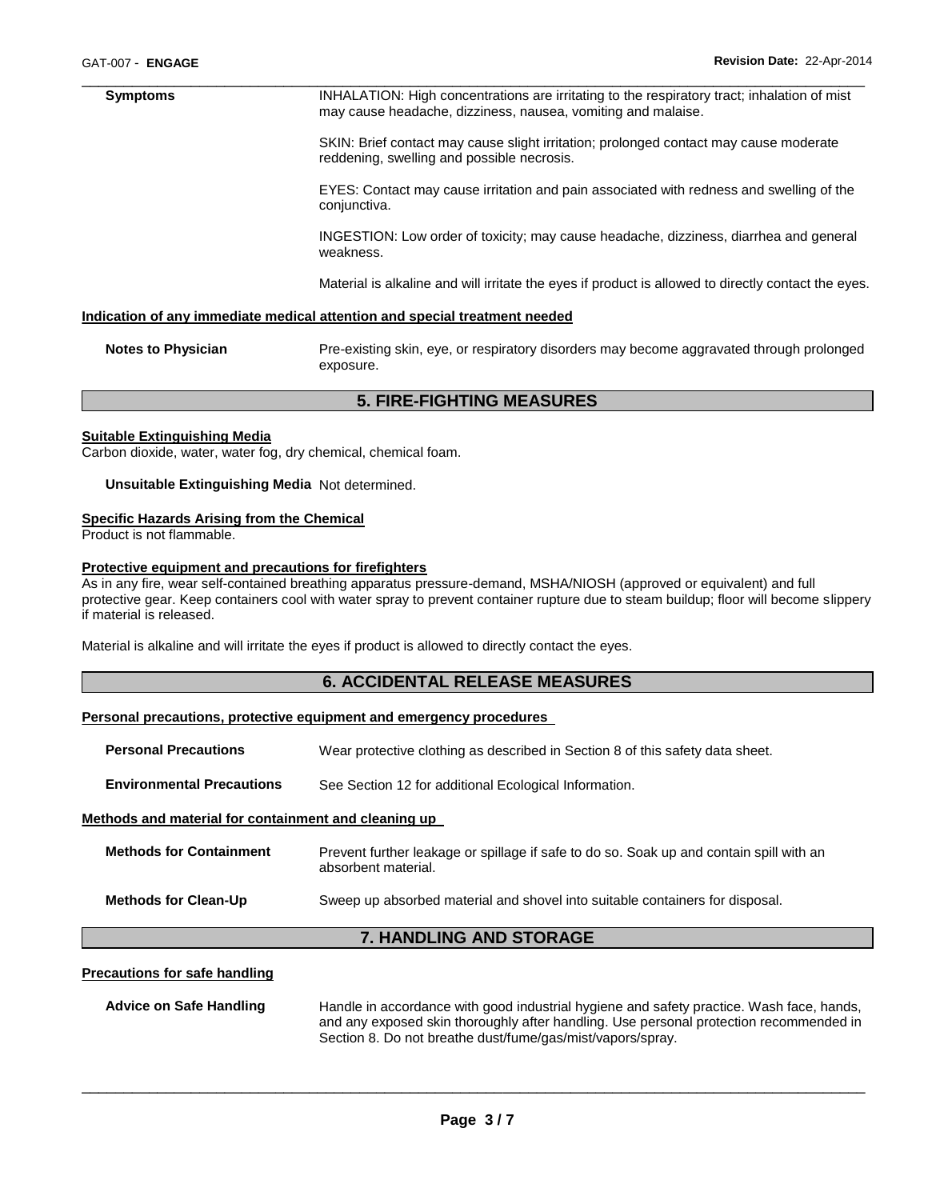\_\_\_\_\_\_\_\_\_\_\_\_\_\_\_\_\_\_\_\_\_\_\_\_\_\_\_\_\_\_\_\_\_\_\_\_\_\_\_\_\_\_\_\_\_\_\_\_\_\_\_\_\_\_\_\_\_\_\_\_\_\_\_\_\_\_\_\_\_\_\_\_\_\_\_\_\_\_\_\_\_\_\_\_\_\_\_\_\_\_\_\_\_ **Symptoms INHALATION: High concentrations are irritating to the respiratory tract; inhalation of mist** may cause headache, dizziness, nausea, vomiting and malaise.

> SKIN: Brief contact may cause slight irritation; prolonged contact may cause moderate reddening, swelling and possible necrosis.

EYES: Contact may cause irritation and pain associated with redness and swelling of the conjunctiva.

INGESTION: Low order of toxicity; may cause headache, dizziness, diarrhea and general weakness.

Material is alkaline and will irritate the eyes if product is allowed to directly contact the eyes.

#### **Indication of any immediate medical attention and special treatment needed**

**Notes to Physician** Pre-existing skin, eye, or respiratory disorders may become aggravated through prolonged exposure.

### **5. FIRE-FIGHTING MEASURES**

#### **Suitable Extinguishing Media**

Carbon dioxide, water, water fog, dry chemical, chemical foam.

#### **Unsuitable Extinguishing Media** Not determined.

#### **Specific Hazards Arising from the Chemical**

Product is not flammable.

### **Protective equipment and precautions for firefighters**

As in any fire, wear self-contained breathing apparatus pressure-demand, MSHA/NIOSH (approved or equivalent) and full protective gear. Keep containers cool with water spray to prevent container rupture due to steam buildup; floor will become slippery if material is released.

Material is alkaline and will irritate the eyes if product is allowed to directly contact the eyes.

# **6. ACCIDENTAL RELEASE MEASURES**

#### **Personal precautions, protective equipment and emergency procedures**

| <b>7. HANDLING AND STORAGE</b>                       |                                                                                                                |  |
|------------------------------------------------------|----------------------------------------------------------------------------------------------------------------|--|
| <b>Methods for Clean-Up</b>                          | Sweep up absorbed material and shovel into suitable containers for disposal.                                   |  |
| <b>Methods for Containment</b>                       | Prevent further leakage or spillage if safe to do so. Soak up and contain spill with an<br>absorbent material. |  |
| Methods and material for containment and cleaning up |                                                                                                                |  |
| <b>Environmental Precautions</b>                     | See Section 12 for additional Ecological Information.                                                          |  |
| <b>Personal Precautions</b>                          | Wear protective clothing as described in Section 8 of this safety data sheet.                                  |  |

#### **Precautions for safe handling**

**Advice on Safe Handling** Handle in accordance with good industrial hygiene and safety practice. Wash face, hands, and any exposed skin thoroughly after handling. Use personal protection recommended in Section 8. Do not breathe dust/fume/gas/mist/vapors/spray.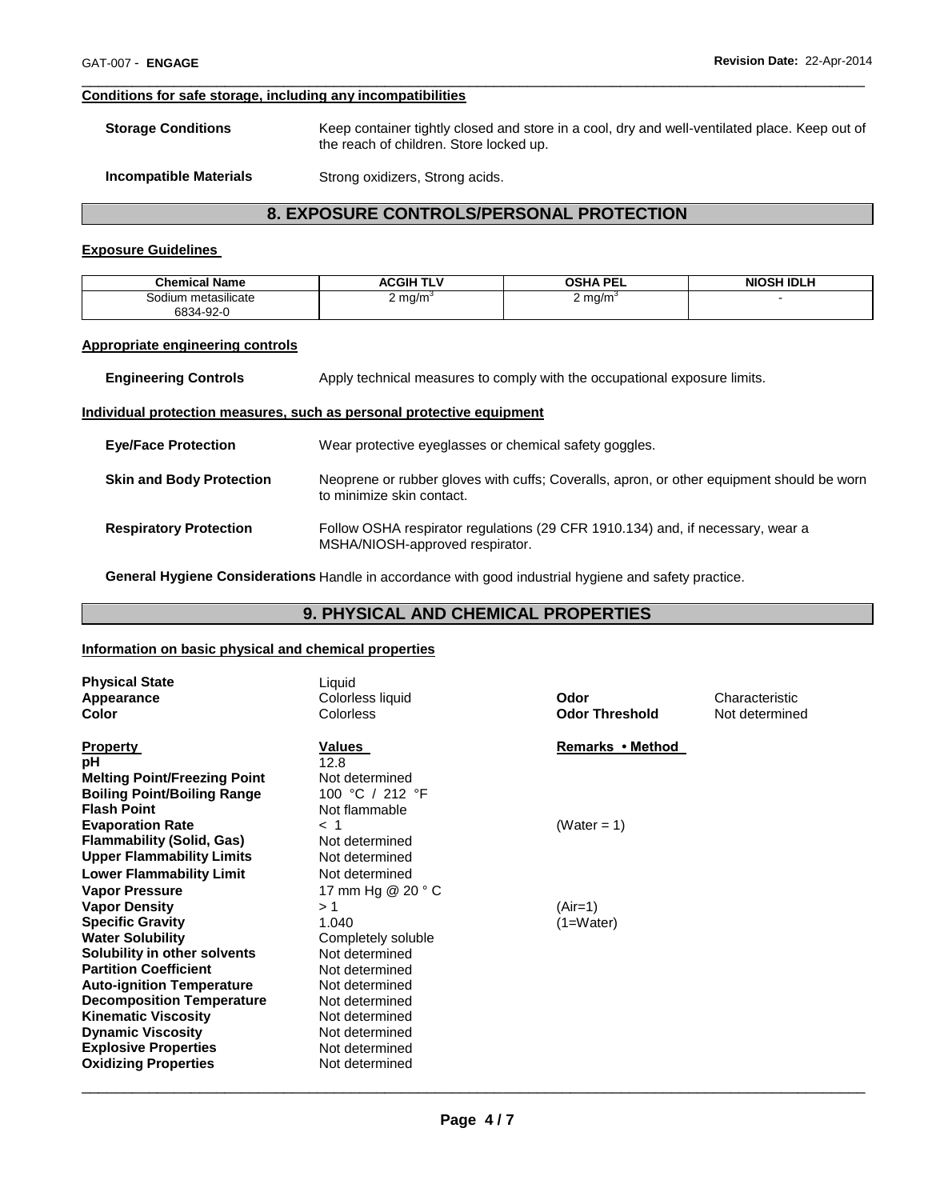# **Conditions for safe storage, including any incompatibilities**

**Storage Conditions** Keep container tightly closed and store in a cool, dry and well-ventilated place. Keep out of the reach of children. Store locked up.

\_\_\_\_\_\_\_\_\_\_\_\_\_\_\_\_\_\_\_\_\_\_\_\_\_\_\_\_\_\_\_\_\_\_\_\_\_\_\_\_\_\_\_\_\_\_\_\_\_\_\_\_\_\_\_\_\_\_\_\_\_\_\_\_\_\_\_\_\_\_\_\_\_\_\_\_\_\_\_\_\_\_\_\_\_\_\_\_\_\_\_\_\_

**Incompatible Materials Strong oxidizers, Strong acids.** 

# **8. EXPOSURE CONTROLS/PERSONAL PROTECTION**

### **Exposure Guidelines**

| <b>Chemical Name</b>       | ACGIH TI <sup>v</sup> | <b>OSHA PEL</b>    | <b>NIOSH IDLH</b> |
|----------------------------|-----------------------|--------------------|-------------------|
| <br>metasilicate<br>30dium | 2 mg/m $^{\circ}$     | $2 \text{ mg/m}^3$ |                   |
| 6834-92-0                  |                       |                    |                   |

#### **Appropriate engineering controls**

**Engineering Controls Apply technical measures to comply with the occupational exposure limits.** 

#### **Individual protection measures, such as personal protective equipment**

| <b>Eye/Face Protection</b>      | Wear protective eyeglasses or chemical safety goggles.                                                                 |
|---------------------------------|------------------------------------------------------------------------------------------------------------------------|
| <b>Skin and Body Protection</b> | Neoprene or rubber gloves with cuffs: Coveralls, apron, or other equipment should be worn<br>to minimize skin contact. |
| <b>Respiratory Protection</b>   | Follow OSHA respirator regulations (29 CFR 1910.134) and, if necessary, wear a<br>MSHA/NIOSH-approved respirator.      |

**General Hygiene Considerations** Handle in accordance with good industrial hygiene and safety practice.

# **9. PHYSICAL AND CHEMICAL PROPERTIES**

### **Information on basic physical and chemical properties**

| <b>Physical State</b><br>Appearance<br>Color                                                                                                                                                                                 | Liquid<br>Colorless liquid<br>Colorless                                                                                    | Odor<br><b>Odor Threshold</b> | Characteristic<br>Not determined |
|------------------------------------------------------------------------------------------------------------------------------------------------------------------------------------------------------------------------------|----------------------------------------------------------------------------------------------------------------------------|-------------------------------|----------------------------------|
| <b>Property</b><br>pH<br><b>Melting Point/Freezing Point</b><br><b>Boiling Point/Boiling Range</b><br><b>Flash Point</b>                                                                                                     | Values<br>12.8<br>Not determined<br>100 °C / 212 °F<br>Not flammable                                                       | Remarks • Method              |                                  |
| <b>Evaporation Rate</b><br><b>Flammability (Solid, Gas)</b><br><b>Upper Flammability Limits</b><br><b>Lower Flammability Limit</b>                                                                                           | $<$ 1<br>Not determined<br>Not determined<br>Not determined                                                                | (Water = 1)                   |                                  |
| <b>Vapor Pressure</b><br><b>Vapor Density</b><br><b>Specific Gravity</b><br><b>Water Solubility</b><br>Solubility in other solvents                                                                                          | 17 mm Hg @ 20 ° C<br>>1<br>1.040<br>Completely soluble<br>Not determined                                                   | (Air=1)<br>(1=Water)          |                                  |
| <b>Partition Coefficient</b><br><b>Auto-ignition Temperature</b><br><b>Decomposition Temperature</b><br><b>Kinematic Viscosity</b><br><b>Dynamic Viscosity</b><br><b>Explosive Properties</b><br><b>Oxidizing Properties</b> | Not determined<br>Not determined<br>Not determined<br>Not determined<br>Not determined<br>Not determined<br>Not determined |                               |                                  |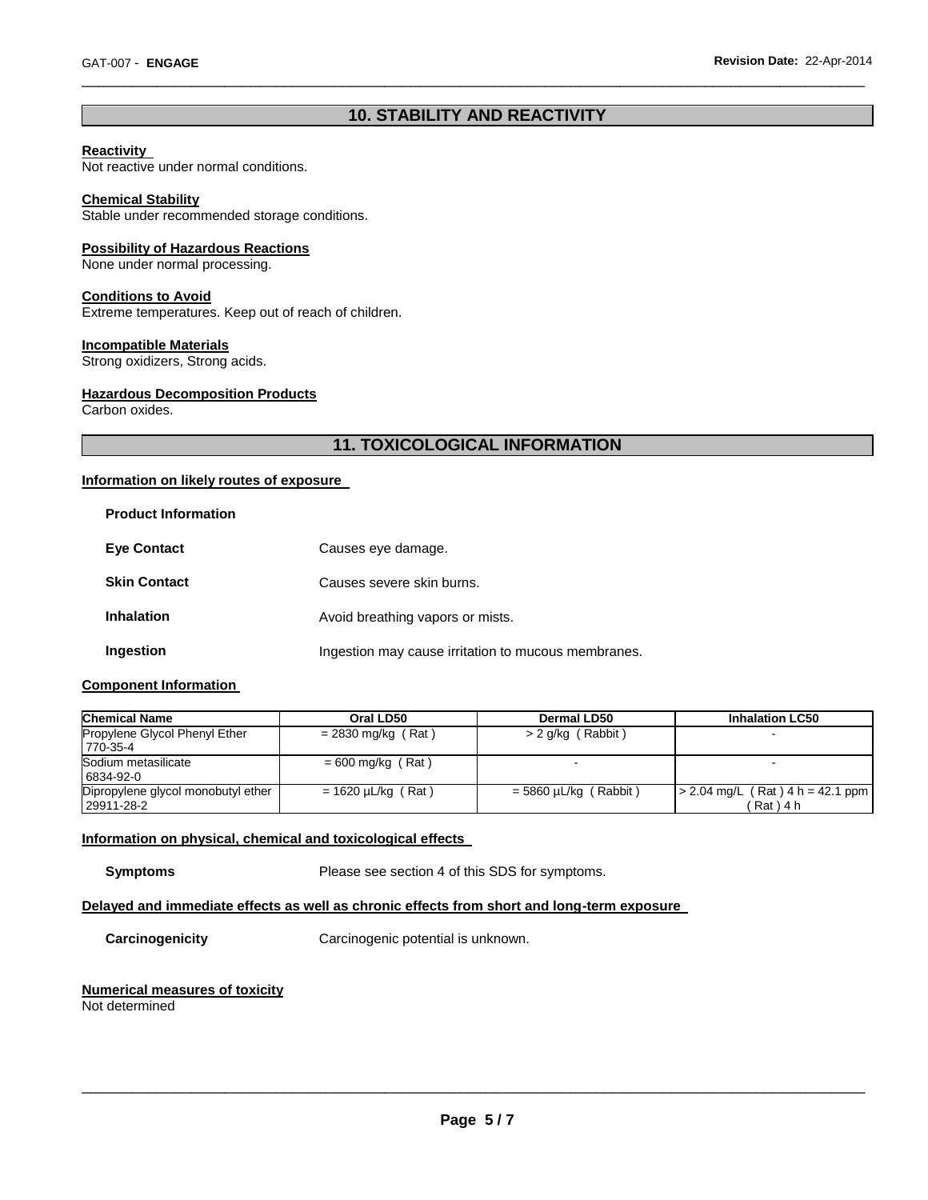# **10. STABILITY AND REACTIVITY**

\_\_\_\_\_\_\_\_\_\_\_\_\_\_\_\_\_\_\_\_\_\_\_\_\_\_\_\_\_\_\_\_\_\_\_\_\_\_\_\_\_\_\_\_\_\_\_\_\_\_\_\_\_\_\_\_\_\_\_\_\_\_\_\_\_\_\_\_\_\_\_\_\_\_\_\_\_\_\_\_\_\_\_\_\_\_\_\_\_\_\_\_\_

### **Reactivity**

Not reactive under normal conditions.

# **Chemical Stability**

Stable under recommended storage conditions.

# **Possibility of Hazardous Reactions**

None under normal processing.

#### **Conditions to Avoid**

Extreme temperatures. Keep out of reach of children.

# **Incompatible Materials**

Strong oxidizers, Strong acids.

#### **Hazardous Decomposition Products**

Carbon oxides.

# **11. TOXICOLOGICAL INFORMATION**

# **Information on likely routes of exposure**

| <b>Product Information</b> |  |
|----------------------------|--|
|----------------------------|--|

| <b>Eye Contact</b>  | Causes eye damage.                                  |
|---------------------|-----------------------------------------------------|
| <b>Skin Contact</b> | Causes severe skin burns.                           |
| <b>Inhalation</b>   | Avoid breathing vapors or mists.                    |
| Ingestion           | Ingestion may cause irritation to mucous membranes. |

### **Component Information**

| <b>Chemical Name</b>                             | Oral LD50               | Dermal LD50             | <b>Inhalation LC50</b>                         |
|--------------------------------------------------|-------------------------|-------------------------|------------------------------------------------|
| Propylene Glycol Phenyl Ether<br>770-35-4        | $= 2830$ mg/kg (Rat)    | > 2 g/kg (Rabbit)       |                                                |
| Sodium metasilicate<br>6834-92-0                 | $= 600$ mg/kg (Rat)     |                         |                                                |
| Dipropylene glycol monobutyl ether<br>29911-28-2 | $= 1620 \mu L/kg$ (Rat) | $=$ 5860 µL/kg (Rabbit) | $>$ 2.04 mg/L (Rat) 4 h = 42.1 ppm<br>'Rat)4 h |

### **Information on physical, chemical and toxicological effects**

**Symptoms** Please see section 4 of this SDS for symptoms.

### **Delayed and immediate effects as well as chronic effects from short and long-term exposure**

**Carcinogenicity** Carcinogenic potential is unknown.

# **Numerical measures of toxicity**

Not determined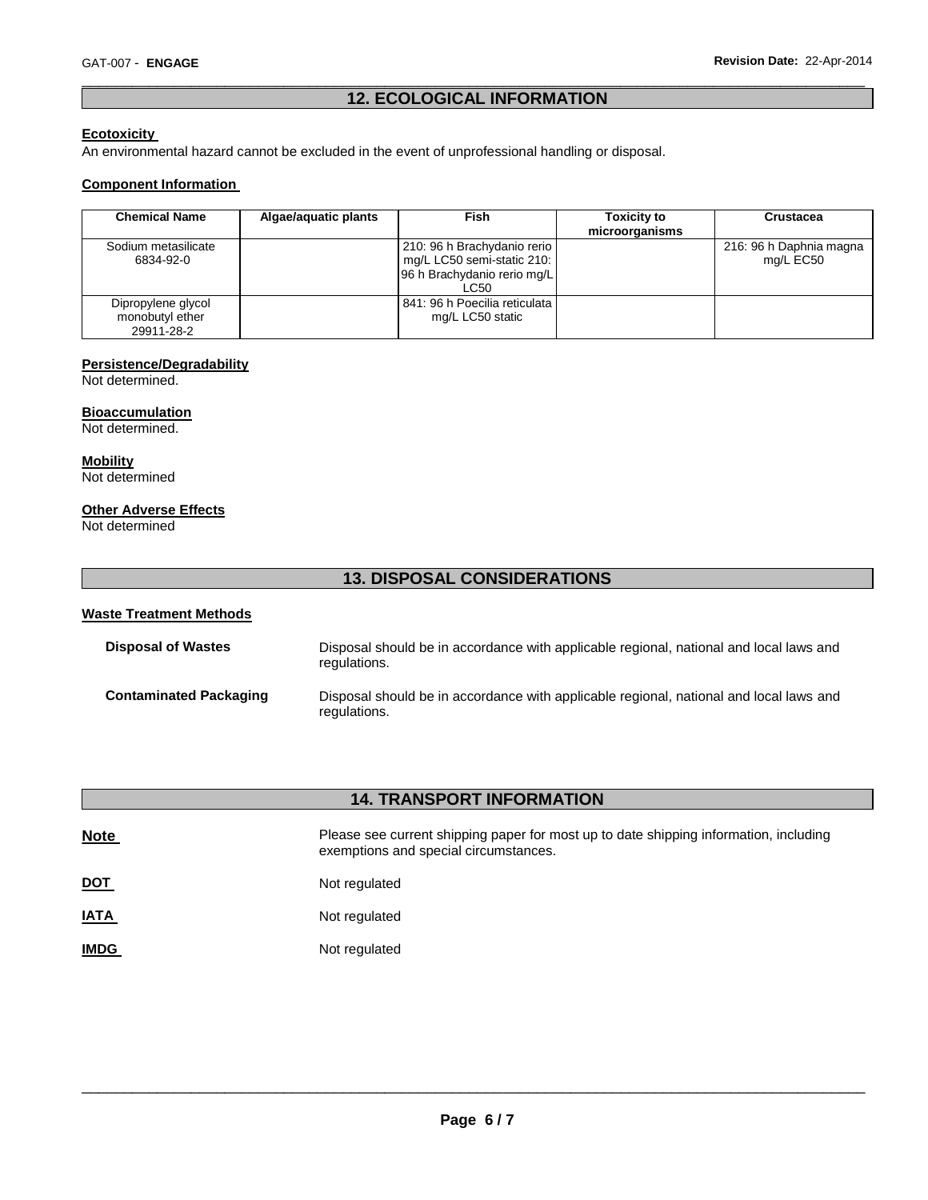# \_\_\_\_\_\_\_\_\_\_\_\_\_\_\_\_\_\_\_\_\_\_\_\_\_\_\_\_\_\_\_\_\_\_\_\_\_\_\_\_\_\_\_\_\_\_\_\_\_\_\_\_\_\_\_\_\_\_\_\_\_\_\_\_\_\_\_\_\_\_\_\_\_\_\_\_\_\_\_\_\_\_\_\_\_\_\_\_\_\_\_\_\_ **12. ECOLOGICAL INFORMATION**

# **Ecotoxicity**

An environmental hazard cannot be excluded in the event of unprofessional handling or disposal.

### **Component Information**

| <b>Chemical Name</b>                                | Algae/aquatic plants | <b>Fish</b>                                                                                      | <b>Toxicity to</b><br>microorganisms | Crustacea                            |
|-----------------------------------------------------|----------------------|--------------------------------------------------------------------------------------------------|--------------------------------------|--------------------------------------|
| Sodium metasilicate<br>6834-92-0                    |                      | 210: 96 h Brachydanio rerio<br>mg/L LC50 semi-static 210:<br>96 h Brachydanio rerio mg/L<br>LC50 |                                      | 216: 96 h Daphnia magna<br>mg/L EC50 |
| Dipropylene glycol<br>monobutyl ether<br>29911-28-2 |                      | 841: 96 h Poecilia reticulata l<br>mg/L LC50 static                                              |                                      |                                      |

#### **Persistence/Degradability**

Not determined.

#### **Bioaccumulation**

Not determined.

**Mobility** Not determined

### **Other Adverse Effects**

Not determined

# **13. DISPOSAL CONSIDERATIONS**

# **Waste Treatment Methods Disposal of Wastes** Disposal should be in accordance with applicable regional, national and local laws and regulations. **Contaminated Packaging** Disposal should be in accordance with applicable regional, national and local laws and regulations.

|             | <b>14. TRANSPORT INFORMATION</b>                                                                                               |
|-------------|--------------------------------------------------------------------------------------------------------------------------------|
| <b>Note</b> | Please see current shipping paper for most up to date shipping information, including<br>exemptions and special circumstances. |
| <u>DOT</u>  | Not regulated                                                                                                                  |
| <b>IATA</b> | Not regulated                                                                                                                  |
| <b>IMDG</b> | Not regulated                                                                                                                  |